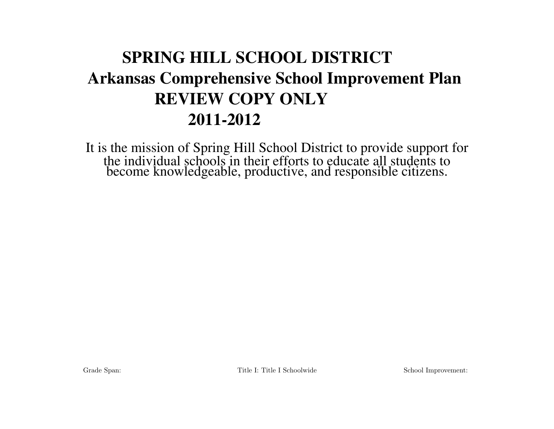# SPRING HILL SCHOOL DISTRICT Arkansas Comprehensive School Improvement Plan REVIEW COPY ONLY 2011-2012

It is the mission of Spring Hill School District to provide support for the individual schools in their efforts to educate all students to become knowledgeable, productive, and responsible citizens.

Grade Span: Title I: Title I: Schoolwide School Improvement: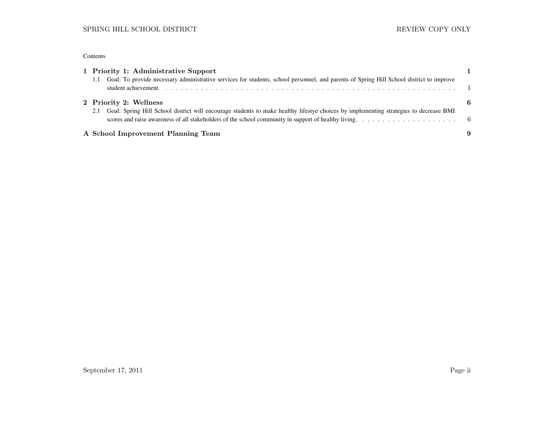#### Contents

|     | 1 Priority 1: Administrative Support                                                                                                                                                                                                                                               |  |
|-----|------------------------------------------------------------------------------------------------------------------------------------------------------------------------------------------------------------------------------------------------------------------------------------|--|
|     | Goal: To provide necessary administrative services for students, school personnel, and parents of Spring Hill School district to improve                                                                                                                                           |  |
|     | 2 Priority 2: Wellness                                                                                                                                                                                                                                                             |  |
| 2.1 | Goal: Spring Hill School district will encourage students to make healthy lifestye choices by implementing strategies to decrease BMI<br>scores and raise awareness of all stakeholders of the school community in support of healthy living. $\ldots \ldots \ldots \ldots \ldots$ |  |
|     | A School Improvement Planning Team                                                                                                                                                                                                                                                 |  |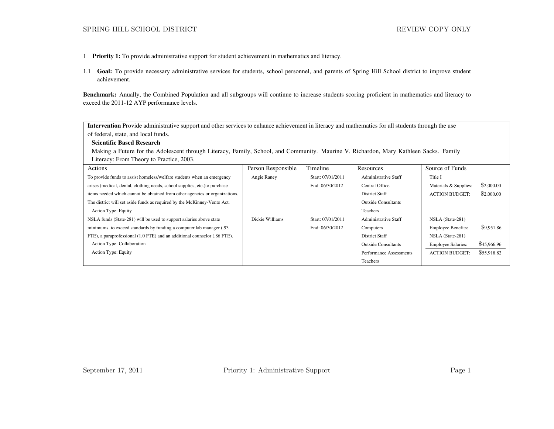- 1 Priority 1: To provide administrative support for student achievement in mathematics and literacy.
- 1.1 Goal: To provide necessary administrative services for students, school personnel, and parents of Spring Hill School district to improve student achievement.

Benchmark: Anually, the Combined Population and all subgroups will continue to increase students scoring proficient in mathematics and literacy to exceed the 2011-12 AYP performance levels.

Intervention Provide administrative support and other services to enhance achievement in literacy and mathematics for all students through the use of federal, state, and local funds.

| <b>Scientific Based Research</b>                                                                                                      |
|---------------------------------------------------------------------------------------------------------------------------------------|
| Making a Future for the Adolescent through Literacy, Family, School, and Community. Maurine V. Richardon, Mary Kathleen Sacks. Family |
| Literacy: From Theory to Practice, 2003.                                                                                              |

| Actions                                                                     | Person Responsible | Timeline          | Resources                   | Source of Funds           |             |
|-----------------------------------------------------------------------------|--------------------|-------------------|-----------------------------|---------------------------|-------------|
| To provide funds to assist homeless/welfare students when an emergency      | Angie Raney        | Start: 07/01/2011 | <b>Administrative Staff</b> | Title I                   |             |
| arises (medical, dental, clothing needs, school supplies, etc.) to purchase |                    | End: 06/30/2012   | Central Office              | Materials & Supplies:     | \$2,000.00  |
| items needed which cannot be obtained from other agencies or organizations. |                    |                   | <b>District Staff</b>       | <b>ACTION BUDGET:</b>     | \$2,000.00  |
| The district will set aside funds as required by the McKinney-Vento Act.    |                    |                   | <b>Outside Consultants</b>  |                           |             |
| Action Type: Equity                                                         |                    |                   | <b>Teachers</b>             |                           |             |
| NSLA funds (State-281) will be used to support salaries above state         | Dickie Williams    | Start: 07/01/2011 | <b>Administrative Staff</b> | NSLA (State-281)          |             |
| minimums, to exceed standards by funding a computer lab manager (.93)       |                    | End: 06/30/2012   | Computers                   | <b>Employee Benefits:</b> | \$9,951.86  |
| FTE), a paraprofessional (1.0 FTE) and an additional counselor (.86 FTE).   |                    |                   | <b>District Staff</b>       | NSLA (State-281)          |             |
| Action Type: Collaboration                                                  |                    |                   | <b>Outside Consultants</b>  | <b>Employee Salaries:</b> | \$45,966.96 |
| Action Type: Equity                                                         |                    |                   | Performance Assessments     | <b>ACTION BUDGET:</b>     | \$55,918.82 |
|                                                                             |                    |                   | Teachers                    |                           |             |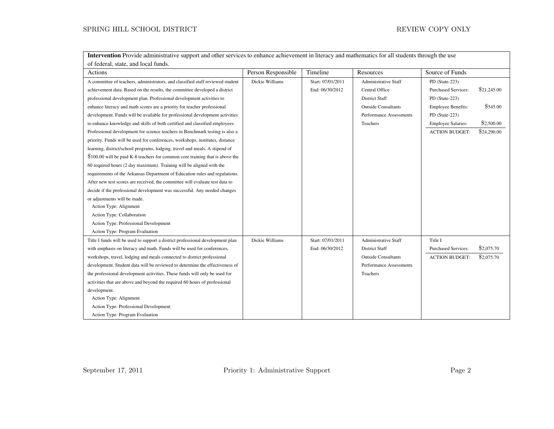| <b>Intervention</b> Provide administrative support and other services to enhance achievement in literacy and mathematics for all students through the use |                    |                   |                             |                            |             |  |
|-----------------------------------------------------------------------------------------------------------------------------------------------------------|--------------------|-------------------|-----------------------------|----------------------------|-------------|--|
| of federal, state, and local funds.                                                                                                                       |                    |                   |                             |                            |             |  |
| Actions                                                                                                                                                   | Person Responsible | Timeline          | Resources                   | Source of Funds            |             |  |
| A committee of teachers, administrators, and classified staff reviewed student                                                                            | Dickie Williams    | Start: 07/01/2011 | <b>Administrative Staff</b> | PD (State-223)             |             |  |
| achievement data. Based on the results, the committee developed a district                                                                                |                    | End: 06/30/2012   | Central Office              | <b>Purchased Services:</b> | \$21,245.00 |  |
| professional development plan. Professional development activities to                                                                                     |                    |                   | <b>District Staff</b>       | PD (State-223)             |             |  |
| enhance literacy and math scores are a priority for teacher professional                                                                                  |                    |                   | <b>Outside Consultants</b>  | <b>Employee Benefits:</b>  | \$545.00    |  |
| development. Funds will be available for professional development activities                                                                              |                    |                   | Performance Assessments     | PD (State-223)             |             |  |
| to enhance knowledge and skills of both certified and classified employees.                                                                               |                    |                   | Teachers                    | <b>Employee Salaries:</b>  | \$2,500.00  |  |
| Professional development for science teachers in Benchmark testing is also a                                                                              |                    |                   |                             | <b>ACTION BUDGET:</b>      | \$24,290.00 |  |
| priority. Funds will be used for conferences, workshops, institutes, distance                                                                             |                    |                   |                             |                            |             |  |
| learning, district/school programs, lodging, travel and meals. A stipend of                                                                               |                    |                   |                             |                            |             |  |
| \$100.00 will be paid K-8 teachers for common core training that is above the                                                                             |                    |                   |                             |                            |             |  |
| 60 required hours (2 day maximum). Training will be aligned with the                                                                                      |                    |                   |                             |                            |             |  |
| requirements of the Arkansas Department of Education rules and regulations.                                                                               |                    |                   |                             |                            |             |  |
| After new test scores are received, the committee will evaluate test data to                                                                              |                    |                   |                             |                            |             |  |
| decide if the professional development was successful. Any needed changes                                                                                 |                    |                   |                             |                            |             |  |
| or adjustments will be made.                                                                                                                              |                    |                   |                             |                            |             |  |
| Action Type: Alignment                                                                                                                                    |                    |                   |                             |                            |             |  |
| Action Type: Collaboration                                                                                                                                |                    |                   |                             |                            |             |  |
| Action Type: Professional Development                                                                                                                     |                    |                   |                             |                            |             |  |
| Action Type: Program Evaluation                                                                                                                           |                    |                   |                             |                            |             |  |
| Title I funds will be used to support a district professional development plan                                                                            | Dickie Williams    | Start: 07/01/2011 | <b>Administrative Staff</b> | Title I                    |             |  |
| with emphasis on literacy and math. Funds will be used for conferences,                                                                                   |                    | End: 06/30/2012   | <b>District Staff</b>       | <b>Purchased Services:</b> | \$2,075.70  |  |
| workshops, travel, lodging and meals connected to district professional                                                                                   |                    |                   | <b>Outside Consultants</b>  | <b>ACTION BUDGET:</b>      | \$2,075.70  |  |
| development. Student data will be reviewed to determine the effectiveness of                                                                              |                    |                   | Performance Assessments     |                            |             |  |
| the professional development activities. These funds will only be used for                                                                                |                    |                   | Teachers                    |                            |             |  |
| activities that are above and beyond the required 60 hours of professional                                                                                |                    |                   |                             |                            |             |  |
| development.                                                                                                                                              |                    |                   |                             |                            |             |  |
| Action Type: Alignment                                                                                                                                    |                    |                   |                             |                            |             |  |
| Action Type: Professional Development                                                                                                                     |                    |                   |                             |                            |             |  |
| Action Type: Program Evaluation                                                                                                                           |                    |                   |                             |                            |             |  |

Intervention Provide administrative support and other services to enhance achievement in literacy and mathematics for all students through the use

September 17, 2011 Priority 1: Administrative Support Page 2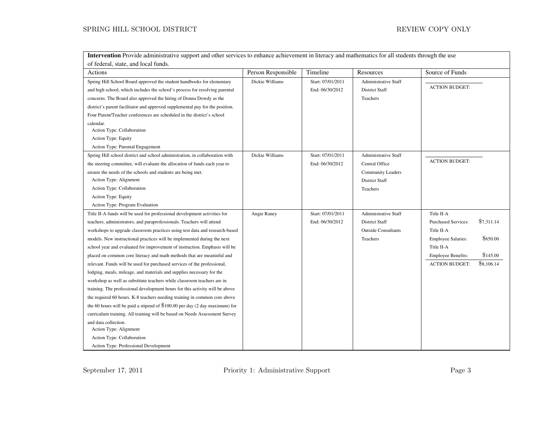## ${\tt SPRING\ HILL}$  SCHOOL DISTRICT  $\hfill {\tt REVIEW\ COPY\ ONLY}$

Intervention Provide administrative support and other services to enhance achievement in literacy and mathematics for all students through the use

| of federal, state, and local funds.                                           |                    |                   |                            |                                          |
|-------------------------------------------------------------------------------|--------------------|-------------------|----------------------------|------------------------------------------|
| Actions                                                                       | Person Responsible | Timeline          | Resources                  | Source of Funds                          |
| Spring Hill School Board approved the student handbooks for elementary        | Dickie Williams    | Start: 07/01/2011 | Administrative Staff       |                                          |
| and high school, which includes the school's process for resolving parental   |                    | End: 06/30/2012   | <b>District Staff</b>      | <b>ACTION BUDGET:</b>                    |
| concerns. The Board also approved the hiring of Donna Dowdy as the            |                    |                   | <b>Teachers</b>            |                                          |
| district's parent facilitator and approved supplemental pay for the position. |                    |                   |                            |                                          |
| Four Parent/Teacher conferences are scheduled in the district's school        |                    |                   |                            |                                          |
| calendar.                                                                     |                    |                   |                            |                                          |
| Action Type: Collaboration                                                    |                    |                   |                            |                                          |
| Action Type: Equity                                                           |                    |                   |                            |                                          |
| Action Type: Parental Engagement                                              |                    |                   |                            |                                          |
| Spring Hill school district and school administration, in collaboration with  | Dickie Williams    | Start: 07/01/2011 | Administrative Staff       |                                          |
| the steering committee, will evaluate the allocation of funds each year to    |                    | End: 06/30/2012   | Central Office             | <b>ACTION BUDGET:</b>                    |
| ensure the needs of the schools and students are being met.                   |                    |                   | <b>Community Leaders</b>   |                                          |
| Action Type: Alignment                                                        |                    |                   | <b>District Staff</b>      |                                          |
| Action Type: Collaboration                                                    |                    |                   | Teachers                   |                                          |
| Action Type: Equity                                                           |                    |                   |                            |                                          |
| Action Type: Program Evaluation                                               |                    |                   |                            |                                          |
| Title II-A funds will be used for professional development activities for     | Angie Raney        | Start: 07/01/2011 | Administrative Staff       | Title II-A                               |
| teachers, administrators, and paraprofessionals. Teachers will attend         |                    | End: 06/30/2012   | <b>District Staff</b>      | \$7,311.14<br><b>Purchased Services:</b> |
| workshops to upgrade classroom practices using test data and research-based   |                    |                   | <b>Outside Consultants</b> | Title II-A                               |
| models. New instructional practices will be implemented during the next       |                    |                   | Teachers                   | \$650.00<br><b>Employee Salaries:</b>    |
| school year and evaluated for improvement of instruction. Emphasis will be    |                    |                   |                            | Title II-A                               |
| placed on common core literacy and math methods that are meaninful and        |                    |                   |                            | \$145.00<br><b>Employee Benefits:</b>    |
| relevant. Funds will be used for purchased services of the professional,      |                    |                   |                            | \$8,106.14<br><b>ACTION BUDGET:</b>      |
| lodging, meals, mileage, and materials and supplies necessary for the         |                    |                   |                            |                                          |
| workshop as well as substitute teachers while classroom teachers are in       |                    |                   |                            |                                          |
| training. The professional development hours for this activity will be above  |                    |                   |                            |                                          |
| the required 60 hours. K-8 teachers needing training in common core above     |                    |                   |                            |                                          |
| the 60 hours will be paid a stipend of $$100.00$ per day (2 day maximum) for  |                    |                   |                            |                                          |
| curriculum training. All training will be based on Needs Assessment Survey    |                    |                   |                            |                                          |
| and data collection.                                                          |                    |                   |                            |                                          |
| Action Type: Alignment                                                        |                    |                   |                            |                                          |
| Action Type: Collaboration                                                    |                    |                   |                            |                                          |
| Action Type: Professional Development                                         |                    |                   |                            |                                          |

September 17, 2011 Priority 1: Administrative Support Page 3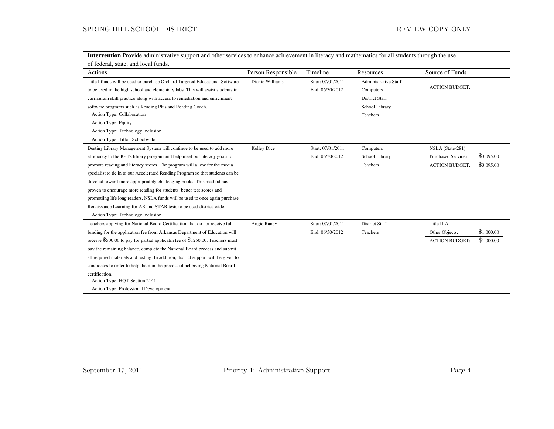## ${\tt SPRING\ HILL}$  SCHOOL DISTRICT  $\hfill {\tt REVIEW\ COPY\ ONLY}$

Intervention Provide administrative support and other services to enhance achievement in literacy and mathematics for all students through the use

| of federal, state, and local funds.                                                                                                                                                                                                                                                                                                                                                                                                                                                                                                                                                                                                                                 |                    |                                      |                                                                                                 |                                                                                                     |  |
|---------------------------------------------------------------------------------------------------------------------------------------------------------------------------------------------------------------------------------------------------------------------------------------------------------------------------------------------------------------------------------------------------------------------------------------------------------------------------------------------------------------------------------------------------------------------------------------------------------------------------------------------------------------------|--------------------|--------------------------------------|-------------------------------------------------------------------------------------------------|-----------------------------------------------------------------------------------------------------|--|
| Actions                                                                                                                                                                                                                                                                                                                                                                                                                                                                                                                                                                                                                                                             | Person Responsible | Timeline                             | Resources                                                                                       | Source of Funds                                                                                     |  |
| Title I funds will be used to purchase Orchard Targeted Educational Software<br>to be used in the high school and elementary labs. This will assist students in<br>curriculum skill practice along with access to remediation and enrichment<br>software programs such as Reading Plus and Reading Coach.<br>Action Type: Collaboration<br>Action Type: Equity<br>Action Type: Technology Inclusion<br>Action Type: Title I Schoolwide                                                                                                                                                                                                                              | Dickie Williams    | Start: 07/01/2011<br>End: 06/30/2012 | <b>Administrative Staff</b><br>Computers<br><b>District Staff</b><br>School Library<br>Teachers | <b>ACTION BUDGET:</b>                                                                               |  |
| Destiny Library Management System will continue to be used to add more<br>efficiency to the K-12 library program and help meet our literacy goals to<br>promote reading and literacy scores. The program will allow for the media<br>specialist to tie in to our Accelerated Reading Program so that students can be<br>directed toward more appropriately challenging books. This method has<br>proven to encourage more reading for students, better test scores and<br>promotiing life long readers. NSLA funds will be used to once again purchase<br>Renaissance Learning for AR and STAR tests to be used district-wide.<br>Action Type: Technology Inclusion | Kelley Dice        | Start: 07/01/2011<br>End: 06/30/2012 | Computers<br>School Library<br>Teachers                                                         | NSLA (State-281)<br>\$3,095.00<br><b>Purchased Services:</b><br>\$3,095.00<br><b>ACTION BUDGET:</b> |  |
| Teachers applying for National Board Certification that do not receive full<br>funding for the application fee from Arkansas Department of Education will<br>receive \$500.00 to pay for partial applicatin fee of \$1250.00. Teachers must<br>pay the remaining balance, complete the National Board process and submit<br>all required materials and testing. In addition, district support will be given to<br>candidates to order to help them in the process of acheiving National Board<br>certification.<br>Action Type: HQT-Section 2141<br>Action Type: Professional Development                                                                           | Angie Raney        | Start: 07/01/2011<br>End: 06/30/2012 | <b>District Staff</b><br>Teachers                                                               | Title II-A<br>\$1,000.00<br>Other Objects:<br>\$1,000.00<br><b>ACTION BUDGET:</b>                   |  |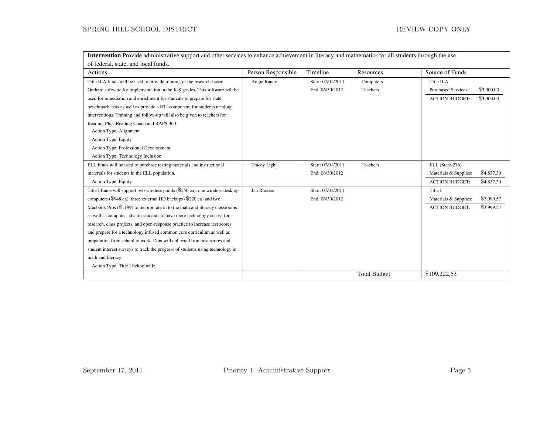## ${\tt SPRING\ HILL}$  SCHOOL DISTRICT  $\hfill {\tt REVIEW\ COPY\ ONLY}$

Intervention Provide administrative support and other services to enhance achievement in literacy and mathematics for all students through the use

| of federal, state, and local funds.                                             |                     |                   |                     |                                          |  |
|---------------------------------------------------------------------------------|---------------------|-------------------|---------------------|------------------------------------------|--|
| Actions                                                                         | Person Responsible  | Timeline          | Resources           | Source of Funds                          |  |
| Title II-A funds will be used to provide training of the research-based         | Angie Raney         | Start: 07/01/2011 | Computers           | Title II-A                               |  |
| Orchard software for implementation in the K-8 grades. This software will be    |                     | End: 06/30/2012   | Teachers            | \$3,900.00<br><b>Purchased Services:</b> |  |
| used for remediation and enrichment for students to prepare for state           |                     |                   |                     | \$3,900.00<br><b>ACTION BUDGET:</b>      |  |
| benchmark tests as well as provide a RTI component for students needing         |                     |                   |                     |                                          |  |
| interventions. Training and follow-up will also be given to teachers for        |                     |                   |                     |                                          |  |
| Reading Plus, Reading Coach and RAPS 360.                                       |                     |                   |                     |                                          |  |
| Action Type: Alignment                                                          |                     |                   |                     |                                          |  |
| <b>Action Type: Equity</b>                                                      |                     |                   |                     |                                          |  |
| Action Type: Professional Development                                           |                     |                   |                     |                                          |  |
| Action Type: Technology Inclusion                                               |                     |                   |                     |                                          |  |
| ELL funds will be used to purchase testing materials and instructional          | <b>Tracey Light</b> | Start: 07/01/2011 | Teachers            | ELL (State-276)                          |  |
| materials for students in the ELL population.                                   |                     | End: 06/30/2012   |                     | \$4,837.30<br>Materials & Supplies:      |  |
| Action Type: Equity                                                             |                     |                   |                     | \$4,837.30<br><b>ACTION BUDGET:</b>      |  |
| Title I funds will support two wireless points (\$550 ea), one wireless desktop | Jan Rhodes          | Start: 07/01/2011 |                     | Title I                                  |  |
| computers (\$948 ea), three external HD backups (\$220 ea) and two              |                     | End: 06/30/2012   |                     | \$3,999.57<br>Materials & Supplies:      |  |
| Macbook Pros $(\$1199)$ to incorporate in to the math and literacy classrooms   |                     |                   |                     | \$3,999.57<br><b>ACTION BUDGET:</b>      |  |
| as well as computer labs for students to have more technology access for        |                     |                   |                     |                                          |  |
| research, class projects, and open-response practice to increase test scores    |                     |                   |                     |                                          |  |
| and prepare for a technology infused common core curriculum as well as          |                     |                   |                     |                                          |  |
| preparation from school to work. Data will collected from test scores and       |                     |                   |                     |                                          |  |
| student interest surveys to track the progress of students using technology in  |                     |                   |                     |                                          |  |
| math and literacy.                                                              |                     |                   |                     |                                          |  |
| Action Type: Title I Schoolwide                                                 |                     |                   |                     |                                          |  |
|                                                                                 |                     |                   | <b>Total Budget</b> | \$109,222.53                             |  |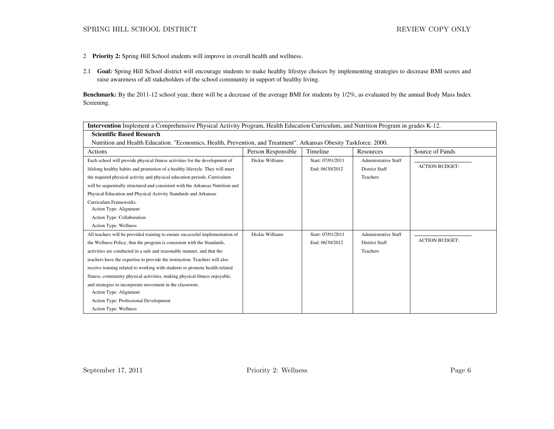- 2 Priority 2: Spring Hill School students will improve in overall health and wellness.
- 2.1 Goal: Spring Hill School district will encourage students to make healthy lifestye choices by implementing strategies to decrease BMI scores and raise awareness of all stakeholders of the school community in support of healthy living.

Benchmark: By the 2011-12 school year, there will be a decrease of the average BMI for students by 1/2%, as evaluated by the annual Body Mass Index Screening.

|                                                                                                                   | <b>Intervention</b> Implement a Comprehensive Physical Activity Program, Health Education Curriculum, and Nutrition Program in grades K-12. |                   |                             |                       |  |  |  |
|-------------------------------------------------------------------------------------------------------------------|---------------------------------------------------------------------------------------------------------------------------------------------|-------------------|-----------------------------|-----------------------|--|--|--|
| <b>Scientific Based Research</b>                                                                                  |                                                                                                                                             |                   |                             |                       |  |  |  |
| Nutrition and Health Education. "Economics, Health, Prevention, and Treatment". Arkansas Obesity Taskforce. 2000. |                                                                                                                                             |                   |                             |                       |  |  |  |
| Actions                                                                                                           | Person Responsible                                                                                                                          | Timeline          | Resources                   | Source of Funds       |  |  |  |
| Each school will provide physical fitness activities for the development of                                       | Dickie Williams                                                                                                                             | Start: 07/01/2011 | <b>Administrative Staff</b> |                       |  |  |  |
| lifelong healthy habits and promotion of a healthy lifestyle. They will meet                                      |                                                                                                                                             | End: 06/30/2012   | <b>District Staff</b>       | <b>ACTION BUDGET:</b> |  |  |  |
| the required physical activity and physical education periods. Curriculum                                         |                                                                                                                                             |                   | Teachers                    |                       |  |  |  |
| will be sequentially structured and consistent with the Arkansas Nutrition and                                    |                                                                                                                                             |                   |                             |                       |  |  |  |
| Physical Education and Physical Activity Standards and Arkansas                                                   |                                                                                                                                             |                   |                             |                       |  |  |  |
| Curriculum Frameworks.                                                                                            |                                                                                                                                             |                   |                             |                       |  |  |  |
| Action Type: Alignment                                                                                            |                                                                                                                                             |                   |                             |                       |  |  |  |
| Action Type: Collaboration                                                                                        |                                                                                                                                             |                   |                             |                       |  |  |  |
| Action Type: Wellness                                                                                             |                                                                                                                                             |                   |                             |                       |  |  |  |
| All teachers will be provided training to ensure successful implementation of                                     | Dickie Williams                                                                                                                             | Start: 07/01/2011 | <b>Administrative Staff</b> | <b>ACTION BUDGET:</b> |  |  |  |
| the Wellness Policy, that the program is consistent with the Standards,                                           |                                                                                                                                             | End: 06/30/2012   | <b>District Staff</b>       |                       |  |  |  |
| activities are conducted in a safe and reasonable manner, and that the                                            |                                                                                                                                             |                   | Teachers                    |                       |  |  |  |
| teachers have the expertise to provide the instruction. Teachers will also                                        |                                                                                                                                             |                   |                             |                       |  |  |  |
| receive training related to working with students to promote health-related                                       |                                                                                                                                             |                   |                             |                       |  |  |  |
| fitness, community physical activities, making physical fitness enjoyable,                                        |                                                                                                                                             |                   |                             |                       |  |  |  |
| and strategies to incorporate movement in the classroom.                                                          |                                                                                                                                             |                   |                             |                       |  |  |  |
| Action Type: Alignment                                                                                            |                                                                                                                                             |                   |                             |                       |  |  |  |
| Action Type: Professional Development                                                                             |                                                                                                                                             |                   |                             |                       |  |  |  |
| Action Type: Wellness                                                                                             |                                                                                                                                             |                   |                             |                       |  |  |  |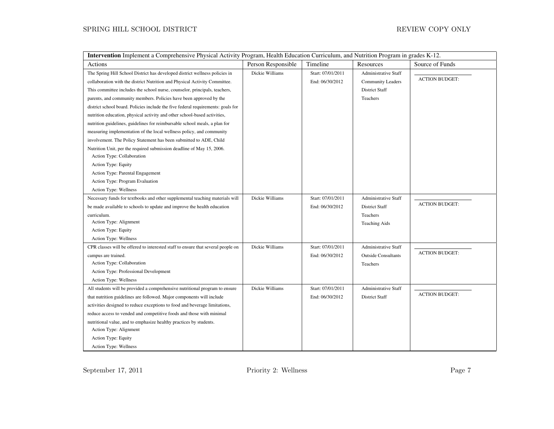| Intervention Implement a Comprehensive Physical Activity Program, Health Education Curriculum, and Nutrition Program in grades K-12.                                                                                                                                                                                                                                                                                                                                                                                                                                                                                                                                                                            |                    |                                      |                                                                            |                       |  |
|-----------------------------------------------------------------------------------------------------------------------------------------------------------------------------------------------------------------------------------------------------------------------------------------------------------------------------------------------------------------------------------------------------------------------------------------------------------------------------------------------------------------------------------------------------------------------------------------------------------------------------------------------------------------------------------------------------------------|--------------------|--------------------------------------|----------------------------------------------------------------------------|-----------------------|--|
| Actions                                                                                                                                                                                                                                                                                                                                                                                                                                                                                                                                                                                                                                                                                                         | Person Responsible | Timeline                             | Resources                                                                  | Source of Funds       |  |
| The Spring Hill School District has developed district wellness policies in<br>collaboration with the district Nutrition and Physical Activity Committee.                                                                                                                                                                                                                                                                                                                                                                                                                                                                                                                                                       | Dickie Williams    | Start: 07/01/2011<br>End: 06/30/2012 | <b>Administrative Staff</b><br><b>Community Leaders</b>                    | <b>ACTION BUDGET:</b> |  |
| This committee includes the school nurse, counselor, principals, teachers,<br>parents, and community members. Policies have been approved by the<br>district school board. Policies include the five federal requirements: goals for<br>nutrition education, physical activity and other school-based activities,<br>nutrition guidelines, guidelines for reimbursable school meals, a plan for<br>measuring implementation of the local wellness policy, and community<br>involvement. The Policy Statement has been submitted to ADE, Child<br>Nutrition Unit, per the required submission deadline of May 15, 2006.<br>Action Type: Collaboration<br>Action Type: Equity<br>Action Type: Parental Engagement |                    |                                      | District Staff<br>Teachers                                                 |                       |  |
| Action Type: Program Evaluation<br>Action Type: Wellness<br>Necessary funds for textbooks and other supplemental teaching materials will<br>be made available to schools to update and improve the health education<br>curriculum.<br>Action Type: Alignment<br>Action Type: Equity<br>Action Type: Wellness                                                                                                                                                                                                                                                                                                                                                                                                    | Dickie Williams    | Start: 07/01/2011<br>End: 06/30/2012 | Administrative Staff<br>District Staff<br>Teachers<br><b>Teaching Aids</b> | <b>ACTION BUDGET:</b> |  |
| CPR classes will be offered to interested staff to ensure that several people on<br>campus are trained.<br>Action Type: Collaboration<br>Action Type: Professional Development<br>Action Type: Wellness                                                                                                                                                                                                                                                                                                                                                                                                                                                                                                         | Dickie Williams    | Start: 07/01/2011<br>End: 06/30/2012 | Administrative Staff<br><b>Outside Consultants</b><br>Teachers             | <b>ACTION BUDGET:</b> |  |
| All students will be provided a comprehensive nutritional program to ensure<br>that nutrition guidelines are followed. Major components will include<br>activities designed to reduce exceptions to food and beverage limitations,<br>reduce access to vended and competitive foods and those with minimal<br>nutritional value, and to emphasize healthy practices by students.<br>Action Type: Alignment<br>Action Type: Equity<br>Action Type: Wellness                                                                                                                                                                                                                                                      | Dickie Williams    | Start: 07/01/2011<br>End: 06/30/2012 | <b>Administrative Staff</b><br>District Staff                              | <b>ACTION BUDGET:</b> |  |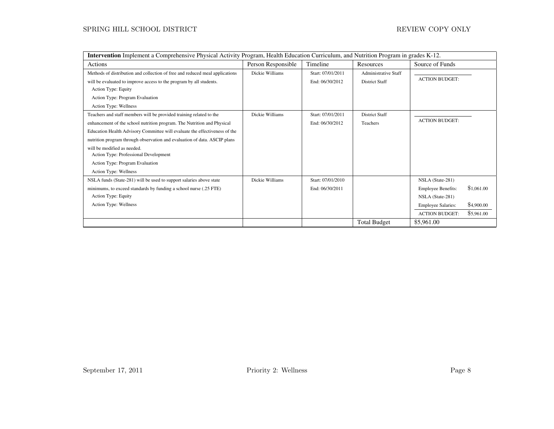## ${\tt SPRING}$  HILL SCHOOL DISTRICT  $\hfill {\tt REVIEW \; COPY \; ONLY}$

| <b>Intervention</b> Implement a Comprehensive Physical Activity Program, Health Education Curriculum, and Nutrition Program in grades K-12.                                                                                                                                                                                                                                                                                                   |                    |                                      |                                                      |                                                                                                                         |                                        |
|-----------------------------------------------------------------------------------------------------------------------------------------------------------------------------------------------------------------------------------------------------------------------------------------------------------------------------------------------------------------------------------------------------------------------------------------------|--------------------|--------------------------------------|------------------------------------------------------|-------------------------------------------------------------------------------------------------------------------------|----------------------------------------|
| Actions                                                                                                                                                                                                                                                                                                                                                                                                                                       | Person Responsible | Timeline                             | Resources                                            | Source of Funds                                                                                                         |                                        |
| Methods of distribution and collection of free and reduced meal applications<br>will be evaluated to improve access to the program by all students.<br>Action Type: Equity<br>Action Type: Program Evaluation<br>Action Type: Wellness                                                                                                                                                                                                        | Dickie Williams    | Start: 07/01/2011<br>End: 06/30/2012 | <b>Administrative Staff</b><br><b>District Staff</b> | <b>ACTION BUDGET:</b>                                                                                                   |                                        |
| Teachers and staff members will be provided training related to the<br>enhancement of the school nutrition program. The Nutrition and Physical<br>Education Health Advisory Committee will evaluate the effectiveness of the<br>nutrition program through observation and evaluation of data. ASCIP plans<br>will be modified as needed.<br>Action Type: Professional Development<br>Action Type: Program Evaluation<br>Action Type: Wellness | Dickie Williams    | Start: 07/01/2011<br>End: 06/30/2012 | <b>District Staff</b><br>Teachers                    | <b>ACTION BUDGET:</b>                                                                                                   |                                        |
| NSLA funds (State-281) will be used to support salaries above state<br>minimums, to exceed standards by funding a school nurse (.25 FTE)<br>Action Type: Equity<br>Action Type: Wellness                                                                                                                                                                                                                                                      | Dickie Williams    | Start: 07/01/2010<br>End: 06/30/2011 |                                                      | NSLA (State-281)<br><b>Employee Benefits:</b><br>NSLA (State-281)<br><b>Employee Salaries:</b><br><b>ACTION BUDGET:</b> | \$1,061.00<br>\$4,900.00<br>\$5,961.00 |
|                                                                                                                                                                                                                                                                                                                                                                                                                                               |                    |                                      | <b>Total Budget</b>                                  | \$5,961.00                                                                                                              |                                        |